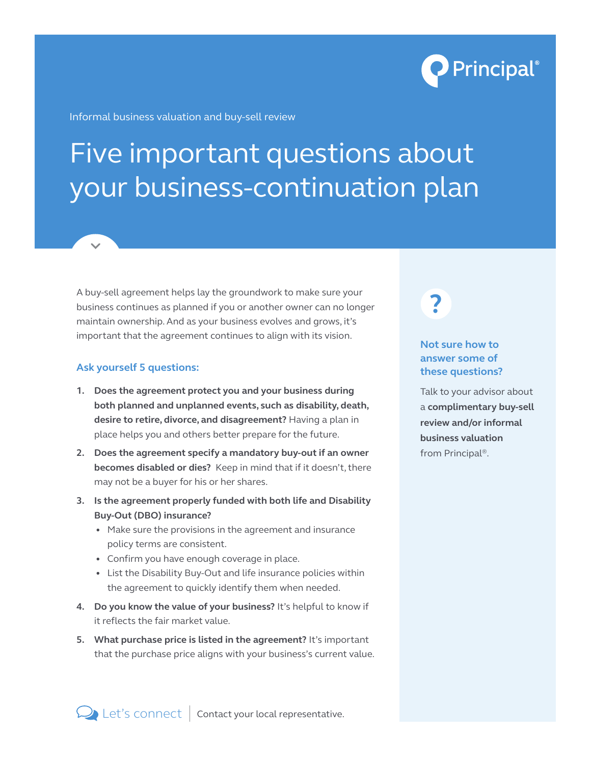

Informal business valuation and buy-sell review

# Five important questions about your business-continuation plan

A buy-sell agreement helps lay the groundwork to make sure your business continues as planned if you or another owner can no longer maintain ownership. And as your business evolves and grows, it's important that the agreement continues to align with its vision.

## **Ask yourself 5 questions:**

- **1. Does the agreement protect you and your business during both planned and unplanned events, such as disability, death, desire to retire, divorce, and disagreement?** Having a plan in place helps you and others better prepare for the future.
- **2. Does the agreement specify a mandatory buy-out if an owner becomes disabled or dies?** Keep in mind that if it doesn't, there may not be a buyer for his or her shares.
- **3. Is the agreement properly funded with both life and Disability Buy-Out (DBO) insurance?**
	- Make sure the provisions in the agreement and insurance policy terms are consistent.
	- Confirm you have enough coverage in place.
	- List the Disability Buy-Out and life insurance policies within the agreement to quickly identify them when needed.
- **4. Do you know the value of your business?** It's helpful to know if it reflects the fair market value.
- **5. What purchase price is listed in the agreement?** It's important that the purchase price aligns with your business's current value.

**?**

# **Not sure how to answer some of these questions?**

Talk to your advisor about a **complimentary buy-sell review and/or informal business valuation** from Principal®.